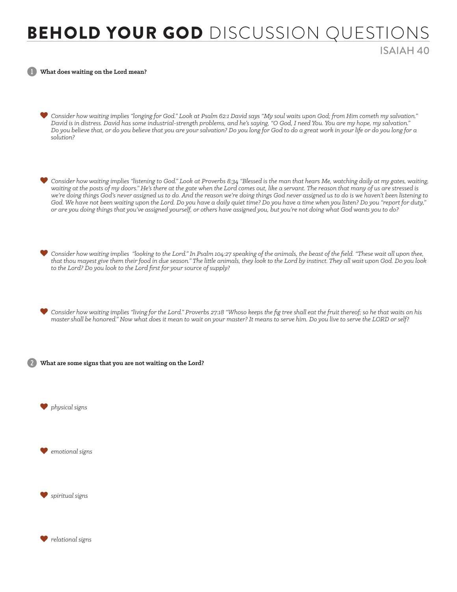## BEHOLD YOUR GOD DISCUSSION QUESTION

ISAIAH 40

1 **What does waiting on the Lord mean?**

- *Consider how waiting implies "longing for God." Look at Psalm 62:1 David says "My soul waits upon God; from Him cometh my salvation." David is in distress. David has some industrial-strength problems, and he's saying, "O God, I need You. You are my hope, my salvation." Do you believe that, or do you believe that you are your salvation? Do you long for God to do a great work in your life or do you long for a solution?*
- *Consider how waiting implies "listening to God." Look at Proverbs 8:34 "Blessed is the man that hears Me, watching daily at my gates, waiting, waiting at the posts of my doors." He's there at the gate when the Lord comes out, like a servant. The reason that many of us are stressed is we're doing things God's never assigned us to do. And the reason we're doing things God never assigned us to do is we haven't been listening to God. We have not been waiting upon the Lord. Do you have a daily quiet time? Do you have a time when you listen? Do you "report for duty," or are you doing things that you've assigned yourself, or others have assigned you, but you're not doing what God wants you to do?*
- *Consider how waiting implies "looking to the Lord." In Psalm 104:27 speaking of the animals, the beast of the field. "These wait all upon thee, that thou mayest give them their food in due season." The little animals, they look to the Lord by instinct. They all wait upon God. Do you look to the Lord? Do you look to the Lord first for your source of supply?*
- *Consider how waiting implies "living for the Lord." Proverbs 27:18 "Whoso keeps the fig tree shall eat the fruit thereof; so he that waits on his master shall be honored." Now what does it mean to wait on your master? It means to serve him. Do you live to serve the LORD or self?*

2 **What are some signs that you are not waiting on the Lord?**

*physical signs*

*emotional signs*

*spiritual signs*